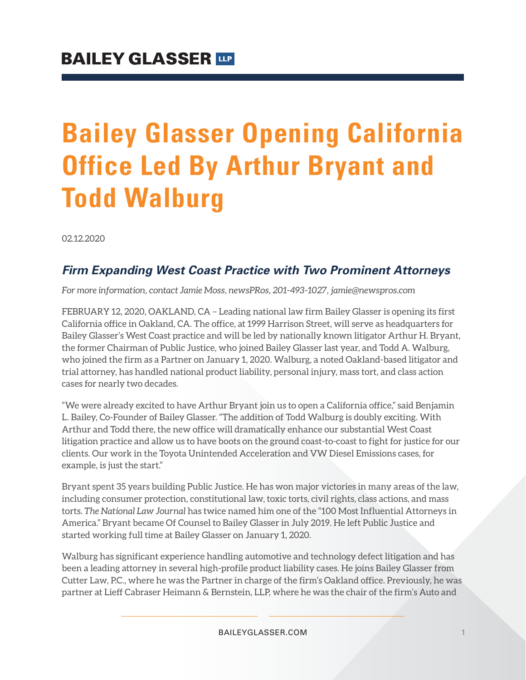# **Bailey Glasser Opening California Office Led By Arthur Bryant and Todd Walburg**

02.12.2020

## *Firm Expanding West Coast Practice with Two Prominent Attorneys*

*For more information, contact Jamie Moss, newsPRos, 201-493-1027, jamie@newspros.com*

FEBRUARY 12, 2020, OAKLAND, CA – Leading national law firm Bailey Glasser is opening its first California office in Oakland, CA. The office, at 1999 Harrison Street, will serve as headquarters for Bailey Glasser's West Coast practice and will be led by nationally known litigator Arthur H. Bryant, the former Chairman of Public Justice, who joined Bailey Glasser last year, and Todd A. Walburg, who joined the firm as a Partner on January 1, 2020. Walburg, a noted Oakland-based litigator and trial attorney, has handled national product liability, personal injury, mass tort, and class action cases for nearly two decades.

"We were already excited to have Arthur Bryant join us to open a California office," said Benjamin L. Bailey, Co-Founder of Bailey Glasser. "The addition of Todd Walburg is doubly exciting. With Arthur and Todd there, the new office will dramatically enhance our substantial West Coast litigation practice and allow us to have boots on the ground coast-to-coast to fight for justice for our clients. Our work in the Toyota Unintended Acceleration and VW Diesel Emissions cases, for example, is just the start."

Bryant spent 35 years building Public Justice. He has won major victories in many areas of the law, including consumer protection, constitutional law, toxic torts, civil rights, class actions, and mass torts. *The National Law Journal* has twice named him one of the "100 Most Influential Attorneys in America." Bryant became Of Counsel to Bailey Glasser in July 2019. He left Public Justice and started working full time at Bailey Glasser on January 1, 2020.

Walburg has significant experience handling automotive and technology defect litigation and has been a leading attorney in several high-profile product liability cases. He joins Bailey Glasser from Cutter Law, P.C., where he was the Partner in charge of the firm's Oakland office. Previously, he was partner at Lieff Cabraser Heimann & Bernstein, LLP, where he was the chair of the firm's Auto and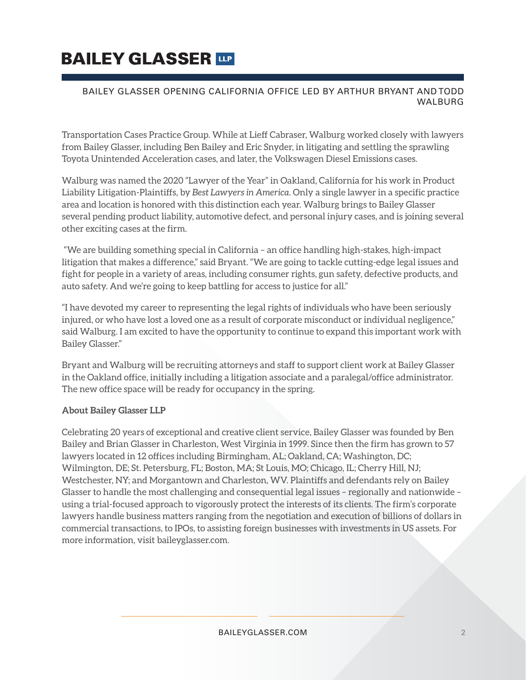# **BAILEY GLASSER TIP**

#### BAILEY GLASSER OPENING CALIFORNIA OFFICE LED BY ARTHUR BRYANT AND TODD WALBURG

Transportation Cases Practice Group. While at Lieff Cabraser, Walburg worked closely with lawyers from Bailey Glasser, including Ben Bailey and Eric Snyder, in litigating and settling the sprawling Toyota Unintended Acceleration cases, and later, the Volkswagen Diesel Emissions cases.

Walburg was named the 2020 "Lawyer of the Year" in Oakland, California for his work in Product Liability Litigation-Plaintiffs, by *Best Lawyers in America*. Only a single lawyer in a specific practice area and location is honored with this distinction each year. Walburg brings to Bailey Glasser several pending product liability, automotive defect, and personal injury cases, and is joining several other exciting cases at the firm.

 "We are building something special in California – an office handling high-stakes, high-impact litigation that makes a difference," said Bryant. "We are going to tackle cutting-edge legal issues and fight for people in a variety of areas, including consumer rights, gun safety, defective products, and auto safety. And we're going to keep battling for access to justice for all."

"I have devoted my career to representing the legal rights of individuals who have been seriously injured, or who have lost a loved one as a result of corporate misconduct or individual negligence," said Walburg. I am excited to have the opportunity to continue to expand this important work with Bailey Glasser."

Bryant and Walburg will be recruiting attorneys and staff to support client work at Bailey Glasser in the Oakland office, initially including a litigation associate and a paralegal/office administrator. The new office space will be ready for occupancy in the spring.

#### **About Bailey Glasser LLP**

Celebrating 20 years of exceptional and creative client service, Bailey Glasser was founded by Ben Bailey and Brian Glasser in Charleston, West Virginia in 1999. Since then the firm has grown to 57 lawyers located in 12 offices including Birmingham, AL; Oakland, CA; Washington, DC; Wilmington, DE; St. Petersburg, FL; Boston, MA; St Louis, MO; Chicago, IL; Cherry Hill, NJ; Westchester, NY; and Morgantown and Charleston, WV. Plaintiffs and defendants rely on Bailey Glasser to handle the most challenging and consequential legal issues – regionally and nationwide – using a trial-focused approach to vigorously protect the interests of its clients. The firm's corporate lawyers handle business matters ranging from the negotiation and execution of billions of dollars in commercial transactions, to IPOs, to assisting foreign businesses with investments in US assets. For more information, visit baileyglasser.com.